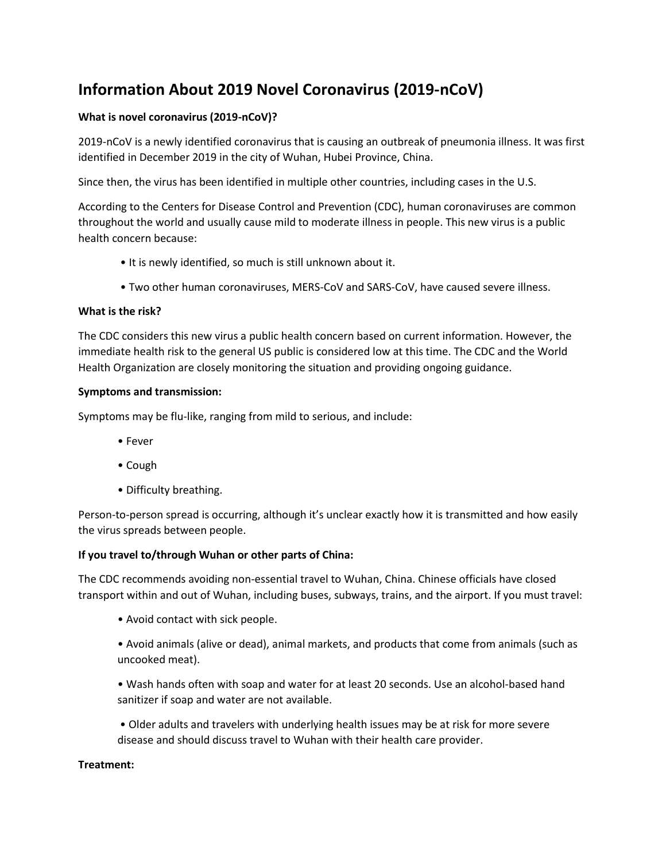# **Information About 2019 Novel Coronavirus (2019-nCoV)**

## **What is novel coronavirus (2019-nCoV)?**

2019-nCoV is a newly identified coronavirus that is causing an outbreak of pneumonia illness. It was first identified in December 2019 in the city of Wuhan, Hubei Province, China.

Since then, the virus has been identified in multiple other countries, including cases in the U.S.

According to the Centers for Disease Control and Prevention (CDC), human coronaviruses are common throughout the world and usually cause mild to moderate illness in people. This new virus is a public health concern because:

- It is newly identified, so much is still unknown about it.
- Two other human coronaviruses, MERS-CoV and SARS-CoV, have caused severe illness.

## **What is the risk?**

The CDC considers this new virus a public health concern based on current information. However, the immediate health risk to the general US public is considered low at this time. The CDC and the World Health Organization are closely monitoring the situation and providing ongoing guidance.

## **Symptoms and transmission:**

Symptoms may be flu-like, ranging from mild to serious, and include:

- Fever
- Cough
- Difficulty breathing.

Person-to-person spread is occurring, although it's unclear exactly how it is transmitted and how easily the virus spreads between people.

## **If you travel to/through Wuhan or other parts of China:**

The CDC recommends avoiding non-essential travel to Wuhan, China. Chinese officials have closed transport within and out of Wuhan, including buses, subways, trains, and the airport. If you must travel:

• Avoid contact with sick people.

• Avoid animals (alive or dead), animal markets, and products that come from animals (such as uncooked meat).

• Wash hands often with soap and water for at least 20 seconds. Use an alcohol-based hand sanitizer if soap and water are not available.

• Older adults and travelers with underlying health issues may be at risk for more severe disease and should discuss travel to Wuhan with their health care provider.

## **Treatment:**